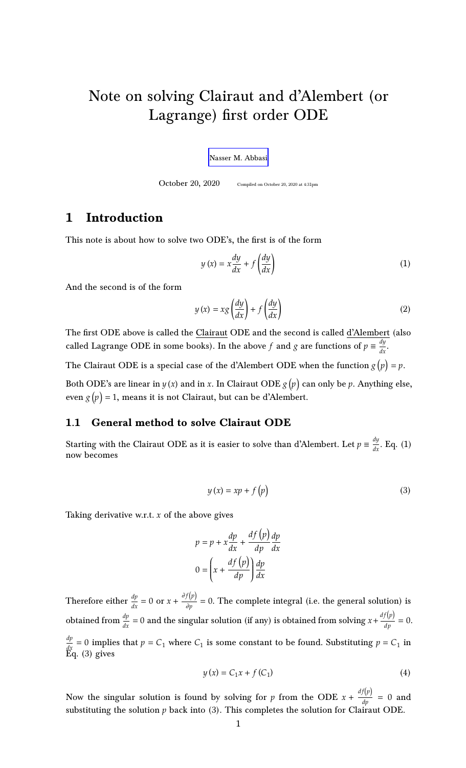# Note on solving Clairaut and d'Alembert (or Lagrange) first order ODE

[Nasser M. Abbasi](mailto:nma@12000.org)

October 20, 2020 Compiled on October 20, 2020 at 4:31pm

# 1 Introduction

This note is about how to solve two ODE's, the first is of the form

$$
y(x) = x\frac{dy}{dx} + f\left(\frac{dy}{dx}\right)
$$
 (1)

And the second is of the form

$$
y(x) = xg\left(\frac{dy}{dx}\right) + f\left(\frac{dy}{dx}\right)
$$
 (2)

The first ODE above is called the Clairaut ODE and the second is called d'Alembert (also called Lagrange ODE in some books). In the above f and g are functions of  $p \equiv \frac{dy}{dx}$ .

The Clairaut ODE is a special case of the d'Alembert ODE when the function  $g(p) = p$ .

Both ODE's are linear in  $y(x)$  and in x. In Clairaut ODE  $g(p)$  can only be p. Anything else, even  $g(p) = 1$ , means it is not Clairaut, but can be d'Alembert.

# 1.1 General method to solve Clairaut ODE

Starting with the Clairaut ODE as it is easier to solve than d'Alembert. Let  $p = \frac{dy}{dx}$ . Eq. (1) now becomes

$$
y(x) = xp + f(p)
$$
 (3)

Taking derivative w.r.t.  $x$  of the above gives

$$
p = p + x \frac{dp}{dx} + \frac{df(p)}{dp} \frac{dp}{dx}
$$

$$
0 = \left(x + \frac{df(p)}{dp}\right) \frac{dp}{dx}
$$

Therefore either  $\frac{dp}{dx} = 0$  or  $x + \frac{\partial f(p)}{\partial p} = 0$ . The complete integral (i.e. the general solution) is obtained from  $\frac{dp}{dx} = 0$  and the singular solution (if any) is obtained from solving  $x + \frac{df(p)}{dp} = 0$ .  $\frac{dp}{dx} = 0$  implies that  $p = C_1$  where  $C_1$  is some constant to be found. Substituting  $p = C_1$  in Eq. (3) gives

$$
y(x) = C_1 x + f(C_1)
$$
 (4)

Now the singular solution is found by solving for p from the ODE  $x + \frac{df(p)}{dp} = 0$  and substituting the solution  $p$  back into (3). This completes the solution for Clairaut ODE.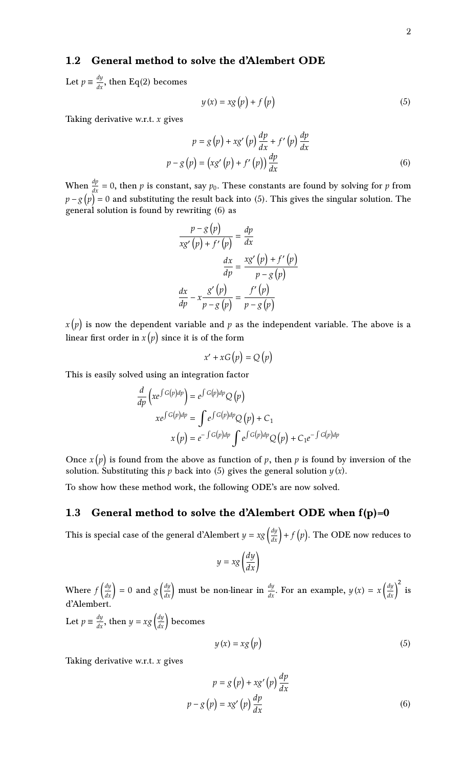#### General method to solve the d'Alembert ODE  $1.2\,$

Let  $p \equiv \frac{dy}{dx}$ , then Eq(2) becomes

$$
y(x) = xg(p) + f(p)
$$
 (5)

Taking derivative w.r.t.  $x$  gives

$$
p = g(p) + xg'(p)\frac{dp}{dx} + f'(p)\frac{dp}{dx}
$$

$$
p - g(p) = (xg'(p) + f'(p))\frac{dp}{dx}
$$
(6)

When  $\frac{dp}{dx} = 0$ , then p is constant, say  $p_0$ . These constants are found by solving for p from  $p - g(p) = 0$  and substituting the result back into (5). This gives the singular solution. The general solution is found by rewriting (6) as

$$
\frac{p - g(p)}{xg'(p) + f'(p)} = \frac{dp}{dx}
$$

$$
\frac{dx}{dp} = \frac{xg'(p) + f'(p)}{p - g(p)}
$$

$$
\frac{dx}{dp} - x\frac{g'(p)}{p - g(p)} = \frac{f'(p)}{p - g(p)}
$$

 $x(p)$  is now the dependent variable and p as the independent variable. The above is a linear first order in  $x(p)$  since it is of the form

$$
x' + xG(p) = Q(p)
$$

This is easily solved using an integration factor

$$
\frac{d}{dp}\left(xe^{\int G(p)dp}\right) = e^{\int G(p)dp}Q(p)
$$
\n
$$
xe^{\int G(p)dp} = \int e^{\int G(p)dp}Q(p) + C_1
$$
\n
$$
x(p) = e^{-\int G(p)dp} \int e^{\int G(p)dp}Q(p) + C_1e^{-\int G(p)dp}
$$

Once  $x(p)$  is found from the above as function of p, then p is found by inversion of the solution. Substituting this p back into (5) gives the general solution  $y(x)$ .

To show how these method work, the following ODE's are now solved.

#### General method to solve the d'Alembert ODE when  $f(p)=0$  $1.3$

This is special case of the general d'Alembert  $y = xg\left(\frac{dy}{dx}\right) + f(p)$ . The ODE now reduces to

$$
y = xg\left(\frac{dy}{dx}\right)
$$

Where  $f\left(\frac{dy}{dx}\right) = 0$  and  $g\left(\frac{dy}{dx}\right)$  must be non-linear in  $\frac{dy}{dx}$ . For an example,  $y(x) = x\left(\frac{dy}{dx}\right)^2$  is d'Alembert. Let  $p \equiv \frac{dy}{dx}$ , then  $y = xg\left(\frac{dy}{dx}\right)$  becomes

$$
y\left(x\right) = xg\left(p\right) \tag{5}
$$

Taking derivative w.r.t.  $x$  gives

$$
p = g(p) + xg'(p)\frac{dp}{dx}
$$

$$
p - g(p) = xg'(p)\frac{dp}{dx}
$$
(6)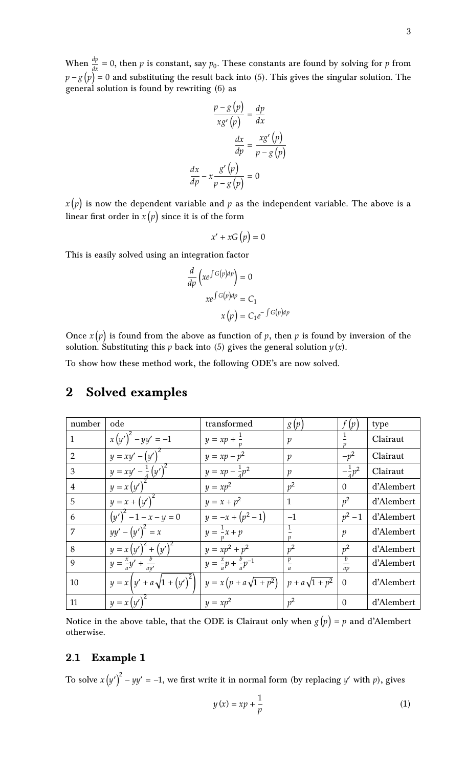When  $\frac{dp}{dx} = 0$ , then p is constant, say  $p_0$ . These constants are found by solving for p from  $p-g\left( p\right) =0$  and substituting the result back into (5). This gives the singular solution. The general solution is found by rewriting (6) as

$$
\frac{p - g(p)}{x g'(p)} = \frac{dp}{dx}
$$

$$
\frac{dx}{dp} = \frac{x g'(p)}{p - g(p)}
$$

$$
\frac{dx}{dp} - x \frac{g'(p)}{p - g(p)} = 0
$$

 $x(p)$  is now the dependent variable and  $p$  as the independent variable. The above is a linear first order in  $x(p)$  since it is of the form

$$
x' + xG(p) = 0
$$

This is easily solved using an integration factor

$$
\frac{d}{dp} \left( xe^{\int G(p)dp} \right) = 0
$$

$$
xe^{\int G(p)dp} = C_1
$$

$$
x(p) = C_1 e^{-\int G(p)dp}
$$

Once  $x(p)$  is found from the above as function of p, then p is found by inversion of the solution. Substituting this  $p$  back into (5) gives the general solution  $y(x)$ .

To show how these method work, the following ODE's are now solved.

| number         | ode                                             | transformed                                           | g(p)             | f(p)              | type       |
|----------------|-------------------------------------------------|-------------------------------------------------------|------------------|-------------------|------------|
|                | $x(y')^2 - yy' = -1$                            | $y = xp + \frac{1}{n}$                                | $\boldsymbol{p}$ |                   | Clairaut   |
| $\overline{2}$ | $y = xy' - (y')^2$                              | $y = xp - p^2$                                        | $\mathfrak{p}$   | $-p^2$            | Clairaut   |
| 3              | $y = xy' - \frac{1}{4}(y')^{2}$                 | $y = xp - \frac{1}{4}p^2$                             | $\mathcal{p}$    | $-\frac{1}{4}p^2$ | Clairaut   |
| $\overline{4}$ | $y = x(y')^2$                                   | $y = xp^2$                                            | $p^2$            | $\Omega$          | d'Alembert |
| 5              | $y = x + (y')^2$                                | $y = x + p^2$                                         | $\mathbf{1}$     | $p^2$             | d'Alembert |
| 6              | $(y')^{2} - 1 - x - y = 0$                      | $y = -x + (p^2 - 1)$                                  | $-1$             | $p^2-1$           | d'Alembert |
| 7              | $yy' - (y')^{2} = x$                            | $y = \frac{1}{n}x + p$                                |                  | $\mathcal{p}$     | d'Alembert |
| 8              | $y = x (y')^{2} + (y')^{2}$                     | $y = xp^2 + p^2$                                      | $p^2$            | $p^2$             | d'Alembert |
| 9              | $y = \frac{x}{a}y' + \frac{b}{ay'}$             | $\overline{y} = \frac{x}{a}p + \frac{b}{a}p^{-1}$     | p                | ap                | d'Alembert |
| 10             | $y = x \left( y' + a \sqrt{1 + (y')^2} \right)$ | $y = x (p + a \sqrt{1 + p^2})$ $p + a \sqrt{1 + p^2}$ |                  | $\overline{0}$    | d'Alembert |
| 11             | $y = x(y')^2$                                   | $y = xp^2$                                            | $v^2$            | $\Omega$          | d'Alembert |

# 2 Solved examples

Notice in the above table, that the ODE is Clairaut only when  $g(p) = p$  and d'Alembert otherwise.

#### 2.1 Example 1

To solve  $x(y')^2 - yy' = -1$ , we first write it in normal form (by replacing  $y'$  with  $p$ ), gives

$$
y(x) = xp + \frac{1}{p}
$$
 (1)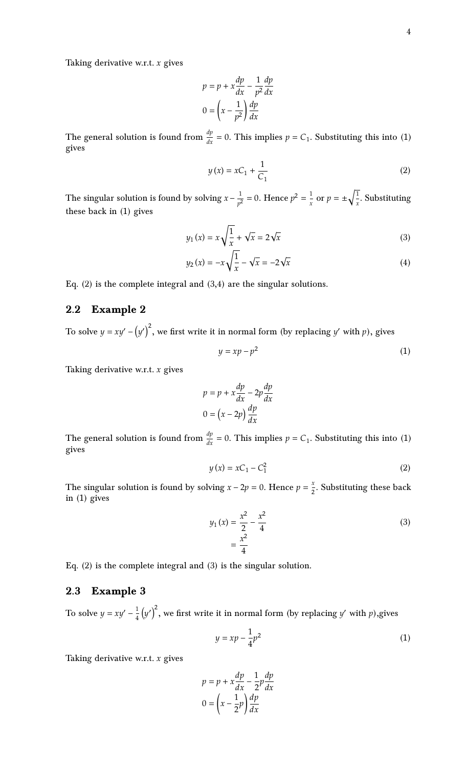Taking derivative w.r.t.  $x$  gives

$$
p = p + x \frac{dp}{dx} - \frac{1}{p^2} \frac{dp}{dx}
$$

$$
0 = \left(x - \frac{1}{p^2}\right) \frac{dp}{dx}
$$

The general solution is found from  $\frac{dp}{dx} = 0$ . This implies  $p = C_1$ . Substituting this into (1) gives

$$
y(x) = xC_1 + \frac{1}{C_1}
$$
 (2)

The singular solution is found by solving  $x - \frac{1}{x^2}$  $\frac{1}{p^2} = 0$ . Hence  $p^2 = \frac{1}{x}$  $\frac{1}{x}$  or  $p = \pm \sqrt{\frac{1}{x}}$  $\frac{1}{x}$ . Substituting these back in (1) gives

$$
y_1(x) = x\sqrt{\frac{1}{x}} + \sqrt{x} = 2\sqrt{x}
$$
 (3)

$$
y_2(x) = -x\sqrt{\frac{1}{x}} - \sqrt{x} = -2\sqrt{x}
$$
 (4)

Eq.  $(2)$  is the complete integral and  $(3,4)$  are the singular solutions.

## 2.2 Example 2

To solve  $y = xy' - (y')^2$ , we first write it in normal form (by replacing y' with p), gives

$$
y = xp - p^2 \tag{1}
$$

Taking derivative w.r.t.  $x$  gives

$$
p = p + x\frac{dp}{dx} - 2p\frac{dp}{dx}
$$

$$
0 = (x - 2p)\frac{dp}{dx}
$$

The general solution is found from  $\frac{dp}{dx} = 0$ . This implies  $p = C_1$ . Substituting this into (1) gives

$$
y(x) = xC_1 - C_1^2
$$
 (2)

The singular solution is found by solving  $x - 2p = 0$ . Hence  $p = \frac{x}{2}$  $\frac{1}{2}$ . Substituting these back in (1) gives

$$
y_1(x) = \frac{x^2}{2} - \frac{x^2}{4}
$$
  
= 
$$
\frac{x^2}{4}
$$
 (3)

Eq. (2) is the complete integral and (3) is the singular solution.

# 2.3 Example 3

To solve  $y = xy' - \frac{1}{4}$  $\frac{1}{4}\left(y'\right)^2$ , we first write it in normal form (by replacing  $y'$  with  $p$ ),gives

$$
y = xp - \frac{1}{4}p^2 \tag{1}
$$

Taking derivative w.r.t.  $x$  gives

$$
p = p + x\frac{dp}{dx} - \frac{1}{2}p\frac{dp}{dx}
$$

$$
0 = \left(x - \frac{1}{2}p\right)\frac{dp}{dx}
$$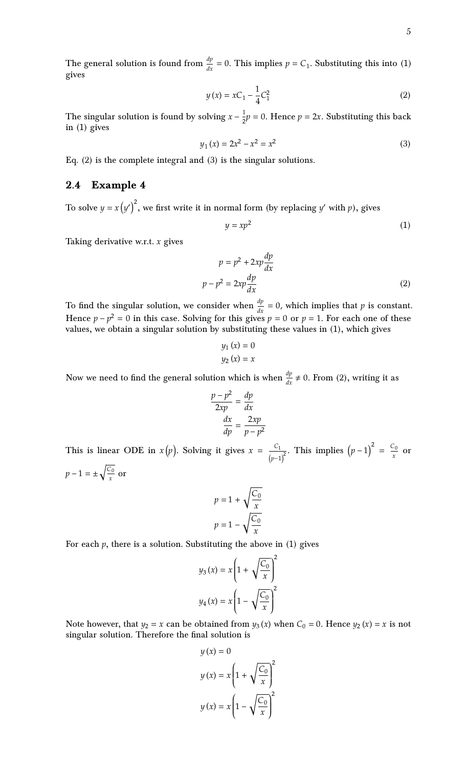The general solution is found from  $\frac{dp}{dx} = 0$ . This implies  $p = C_1$ . Substituting this into (1) gives

$$
y(x) = xC_1 - \frac{1}{4}C_1^2
$$
 (2)

The singular solution is found by solving  $x - \frac{1}{2}$  $\frac{1}{2}p = 0$ . Hence  $p = 2x$ . Substituting this back in (1) gives

$$
y_1(x) = 2x^2 - x^2 = x^2 \tag{3}
$$

Eq. (2) is the complete integral and (3) is the singular solutions.

# 2.4 Example 4

To solve  $y = x(y')^2$ , we first write it in normal form (by replacing y' with p), gives

$$
y = xp^2 \tag{1}
$$

Taking derivative w.r.t.  $x$  gives

$$
p = p2 + 2xp\frac{dp}{dx}
$$
  

$$
p - p2 = 2xp\frac{dp}{dx}
$$
 (2)

To find the singular solution, we consider when  $\frac{dp}{dx} = 0$ , which implies that p is constant. Hence  $p - p^2 = 0$  in this case. Solving for this gives  $p = 0$  or  $p = 1$ . For each one of these values, we obtain a singular solution by substituting these values in (1), which gives

$$
y_1(x) = 0
$$
  

$$
y_2(x) = x
$$

Now we need to find the general solution which is when  $\frac{dp}{dx} \neq 0$ . From (2), writing it as

$$
\frac{p - p^2}{2xp} = \frac{dp}{dx}
$$

$$
\frac{dx}{dp} = \frac{2xp}{p - p^2}
$$

This is linear ODE in  $x(p)$ . Solving it gives  $x = \frac{C_1}{p}$ .  $\frac{C_1}{(p-1)^2}$ . This implies  $(p-1)^2 = \frac{C_0}{x}$  $\frac{y}{x}$  or  $p - 1 = \pm \sqrt{\frac{C_0}{x}}$  $\frac{y}{x}$  or

$$
p = 1 + \sqrt{\frac{C_0}{x}}
$$

$$
p = 1 - \sqrt{\frac{C_0}{x}}
$$

For each  $p$ , there is a solution. Substituting the above in (1) gives

$$
y_3(x) = x \left( 1 + \sqrt{\frac{C_0}{x}} \right)^2
$$

$$
y_4(x) = x \left( 1 - \sqrt{\frac{C_0}{x}} \right)^2
$$

Note however, that  $y_2 = x$  can be obtained from  $y_3(x)$  when  $C_0 = 0$ . Hence  $y_2(x) = x$  is not singular solution. Therefore the final solution is

$$
y(x) = 0
$$
  

$$
y(x) = x \left(1 + \sqrt{\frac{C_0}{x}}\right)^2
$$
  

$$
y(x) = x \left(1 - \sqrt{\frac{C_0}{x}}\right)^2
$$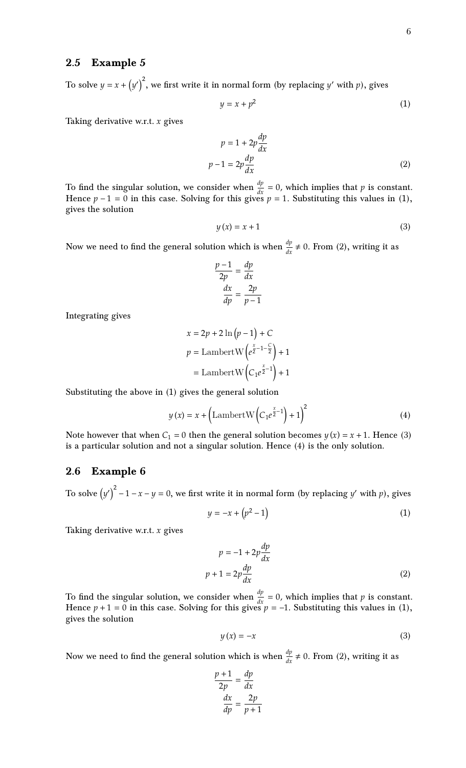# 2.5 Example 5

To solve  $y = x + (y')^2$ , we first write it in normal form (by replacing y' with p), gives

$$
y = x + p^2 \tag{1}
$$

Taking derivative w.r.t.  $x$  gives

$$
p = 1 + 2p \frac{dp}{dx}
$$
  

$$
p - 1 = 2p \frac{dp}{dx}
$$
 (2)

To find the singular solution, we consider when  $\frac{dp}{dx} = 0$ , which implies that p is constant. Hence  $p-1=0$  in this case. Solving for this gives  $p=1$ . Substituting this values in (1), gives the solution

$$
y(x) = x + 1 \tag{3}
$$

Now we need to find the general solution which is when  $\frac{dp}{dx} \neq 0$ . From (2), writing it as

$$
\frac{p-1}{2p} = \frac{dp}{dx}
$$

$$
\frac{dx}{dp} = \frac{2p}{p-1}
$$

Integrating gives

$$
x = 2p + 2\ln(p - 1) + C
$$
  

$$
p = \text{LambertW}\left(e^{\frac{x}{2} - 1 - \frac{C}{2}}\right) + 1
$$
  

$$
= \text{LambertW}\left(C_1e^{\frac{x}{2} - 1}\right) + 1
$$

Substituting the above in (1) gives the general solution

$$
y(x) = x + \left(\text{LambertW}\left(C_1 e^{\frac{x}{2}-1}\right) + 1\right)^2\tag{4}
$$

Note however that when  $C_1 = 0$  then the general solution becomes  $y(x) = x + 1$ . Hence (3) is a particular solution and not a singular solution. Hence (4) is the only solution.

### 2.6 Example 6

To solve  $(y')^2 - 1 - x - y = 0$ , we first write it in normal form (by replacing y' with p), gives

$$
y = -x + (p^2 - 1) \tag{1}
$$

Taking derivative w.r.t.  $x$  gives

$$
p = -1 + 2p \frac{dp}{dx}
$$
  

$$
p + 1 = 2p \frac{dp}{dx}
$$
 (2)

To find the singular solution, we consider when  $\frac{dp}{dx} = 0$ , which implies that p is constant. Hence  $p + 1 = 0$  in this case. Solving for this gives  $p = -1$ . Substituting this values in (1), gives the solution

$$
y(x) = -x \tag{3}
$$

Now we need to find the general solution which is when  $\frac{dp}{dx} \neq 0$ . From (2), writing it as

$$
\frac{p+1}{2p} = \frac{dp}{dx}
$$

$$
\frac{dx}{dp} = \frac{2p}{p+1}
$$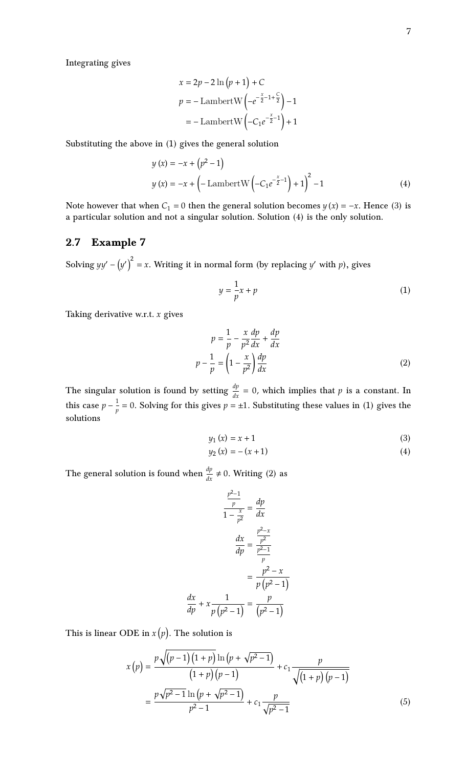Integrating gives

$$
x = 2p - 2\ln(p + 1) + C
$$
  

$$
p = -\text{LambertW}\left(-e^{-\frac{x}{2} - 1 + \frac{C}{2}}\right) - 1
$$
  

$$
= -\text{LambertW}\left(-C_1e^{-\frac{x}{2} - 1}\right) + 1
$$

Substituting the above in (1) gives the general solution

$$
y(x) = -x + (p2 - 1)
$$
  
\n
$$
y(x) = -x + (-\text{LambertW}(-C_1e^{-\frac{x}{2}-1}) + 1)^{2} - 1
$$
\n(4)

Note however that when  $C_1 = 0$  then the general solution becomes  $y(x) = -x$ . Hence (3) is a particular solution and not a singular solution. Solution (4) is the only solution.

# 2.7 Example 7

Solving  $yy' - (y')^2 = x$ . Writing it in normal form (by replacing y' with p), gives

$$
y = \frac{1}{p}x + p \tag{1}
$$

Taking derivative w.r.t.  $x$  gives

$$
p = \frac{1}{p} - \frac{x}{p^2} \frac{dp}{dx} + \frac{dp}{dx}
$$
  

$$
p - \frac{1}{p} = \left(1 - \frac{x}{p^2}\right) \frac{dp}{dx}
$$
 (2)

The singular solution is found by setting  $\frac{dp}{dx} = 0$ , which implies that p is a constant. In this case  $p - \frac{1}{n}$  $\frac{1}{p}$  = 0. Solving for this gives  $p = \pm 1$ . Substituting these values in (1) gives the solutions

$$
y_1(x) = x + 1 \tag{3}
$$

$$
y_2(x) = -(x+1)
$$
 (4)

The general solution is found when  $\frac{dp}{dx} \neq 0$ . Writing (2) as

$$
\frac{\frac{p^2 - 1}{p}}{1 - \frac{x}{p^2}} = \frac{dp}{dx}
$$

$$
\frac{dx}{dp} = \frac{\frac{p^2 - x}{p^2}}{\frac{p^2 - 1}{p}}
$$

$$
= \frac{p^2 - x}{p(p^2 - 1)}
$$

$$
\frac{dx}{dp} + x \frac{1}{p(p^2 - 1)} = \frac{p}{(p^2 - 1)}
$$

This is linear ODE in  $x(p)$ . The solution is

$$
x(p) = \frac{p\sqrt{(p-1)(1+p)}\ln(p+\sqrt{p^2-1})}{(1+p)(p-1)} + c_1 \frac{p}{\sqrt{(1+p)(p-1)}}
$$

$$
= \frac{p\sqrt{p^2-1}\ln(p+\sqrt{p^2-1})}{p^2-1} + c_1 \frac{p}{\sqrt{p^2-1}}
$$
(5)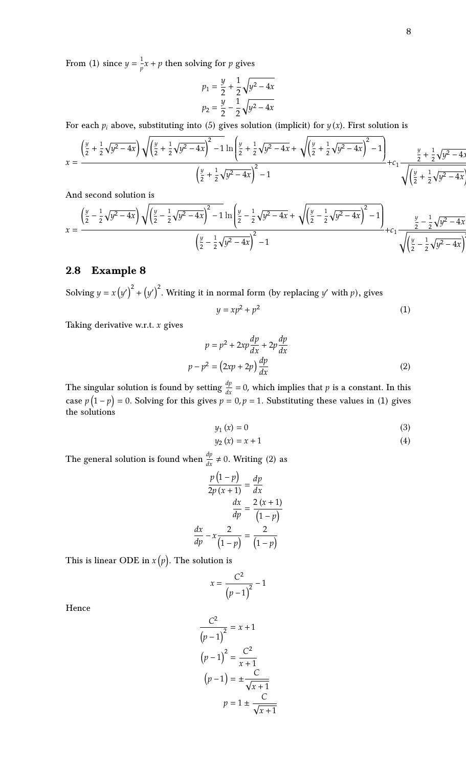From (1) since  $y = \frac{1}{n}$  $\frac{1}{p}x + p$  then solving for p gives

$$
p_1 = \frac{y}{2} + \frac{1}{2}\sqrt{y^2 - 4x}
$$

$$
p_2 = \frac{y}{2} - \frac{1}{2}\sqrt{y^2 - 4x}
$$

For each  $p_i$  above, substituting into (5) gives solution (implicit) for  $y(x)$ . First solution is

$$
x = \frac{\left(\frac{y}{2} + \frac{1}{2}\sqrt{y^2 - 4x}\right)\sqrt{\left(\frac{y}{2} + \frac{1}{2}\sqrt{y^2 - 4x}\right)^2 - 1}\ln\left(\frac{y}{2} + \frac{1}{2}\sqrt{y^2 - 4x} + \sqrt{\left(\frac{y}{2} + \frac{1}{2}\sqrt{y^2 - 4x}\right)^2 - 1}\right)}{x} + c_1 \frac{\frac{y}{2} + \frac{1}{2}\sqrt{y^2 - 4x}}{\sqrt{\left(\frac{y}{2} + \frac{1}{2}\sqrt{y^2 - 4x}\right)^2 - 1}}
$$

And second solution is

$$
x = \frac{\left(\frac{y}{2} - \frac{1}{2}\sqrt{y^2 - 4x}\right)\sqrt{\left(\frac{y}{2} - \frac{1}{2}\sqrt{y^2 - 4x}\right)^2 - 1}\ln\left(\frac{y}{2} - \frac{1}{2}\sqrt{y^2 - 4x} + \sqrt{\left(\frac{y}{2} - \frac{1}{2}\sqrt{y^2 - 4x}\right)^2 - 1}\right)}{2\left(\frac{y}{2} - \frac{1}{2}\sqrt{y^2 - 4x}\right)^2 - 1} + c_1 \frac{\frac{y}{2} - \frac{1}{2}\sqrt{y^2 - 4x}}{\sqrt{\left(\frac{y}{2} - \frac{1}{2}\sqrt{y^2 - 4x}\right)^2 - 1}}
$$

# 2.8 Example 8

Solving  $y = x(y')^{2} + (y')^{2}$ . Writing it in normal form (by replacing y' with p), gives  $y = xp^2 + p^2$ 

Taking derivative w.r.t.  $x$  gives

$$
p = p2 + 2xp\frac{dp}{dx} + 2p\frac{dp}{dx}
$$

$$
p - p2 = (2xp + 2p)\frac{dp}{dx}
$$
 (2)

The singular solution is found by setting  $\frac{dp}{dx} = 0$ , which implies that  $p$  is a constant. In this case  $p(1-p) = 0$ . Solving for this gives  $p = 0, p = 1$ . Substituting these values in (1) gives the solutions

$$
y_1(x) = 0 \tag{3}
$$

$$
y_2(x) = x + 1 \tag{4}
$$

The general solution is found when  $\frac{dp}{dx} \neq 0$ . Writing (2) as

$$
\frac{p(1-p)}{2p(x+1)} = \frac{dp}{dx}
$$

$$
\frac{dx}{dp} = \frac{2(x+1)}{(1-p)}
$$

$$
\frac{dx}{dp} - x\frac{2}{(1-p)} = \frac{2}{(1-p)}
$$

This is linear ODE in  $x(p)$ . The solution is

$$
x = \frac{C^2}{(p-1)^2} - 1
$$

Hence

$$
\frac{C^2}{(p-1)^2} = x+1
$$

$$
(p-1)^2 = \frac{C^2}{x+1}
$$

$$
(p-1) = \pm \frac{C}{\sqrt{x+1}}
$$

$$
p = 1 \pm \frac{C}{\sqrt{x+1}}
$$

(1)

2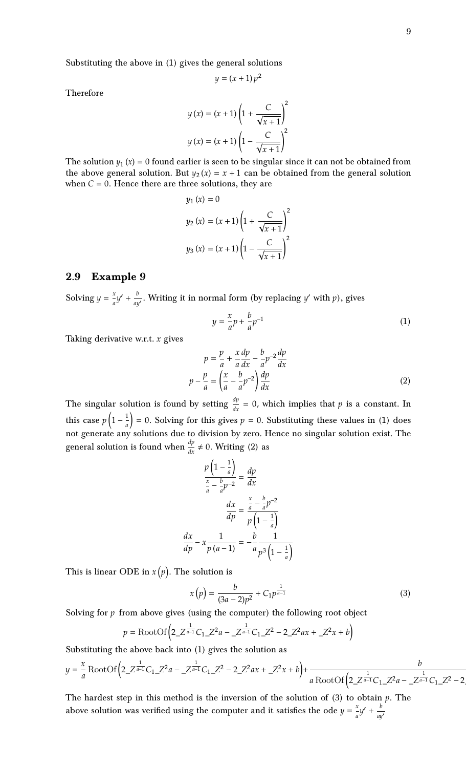Substituting the above in (1) gives the general solutions

$$
y = (x+1)p^2
$$

**Therefore** 

$$
y(x) = (x + 1)\left(1 + \frac{C}{\sqrt{x + 1}}\right)^{2}
$$

$$
y(x) = (x + 1)\left(1 - \frac{C}{\sqrt{x + 1}}\right)^{2}
$$

The solution  $y_1(x) = 0$  found earlier is seen to be singular since it can not be obtained from the above general solution. But  $y_2(x) = x + 1$  can be obtained from the general solution when  $C = 0$ . Hence there are three solutions, they are

$$
y_1(x) = 0
$$
  

$$
y_2(x) = (x+1)\left(1 + \frac{C}{\sqrt{x+1}}\right)^2
$$
  

$$
y_3(x) = (x+1)\left(1 - \frac{C}{\sqrt{x+1}}\right)^2
$$

# 2.9 Example 9

Solving  $y = \frac{x}{a}$  $\frac{x}{a}y' + \frac{b}{ay}$  $\frac{\partial}{\partial y'}$ . Writing it in normal form (by replacing  $y'$  with  $p$ ), gives

$$
y = \frac{x}{a}p + \frac{b}{a}p^{-1}
$$
 (1)

Taking derivative w.r.t.  $x$  gives

$$
p = \frac{p}{a} + \frac{x}{a} \frac{dp}{dx} - \frac{b}{a} p^{-2} \frac{dp}{dx}
$$
  

$$
p - \frac{p}{a} = \left(\frac{x}{a} - \frac{b}{a} p^{-2}\right) \frac{dp}{dx}
$$
 (2)

The singular solution is found by setting  $\frac{dp}{dx} = 0$ , which implies that  $p$  is a constant. In this case  $p\left(1-\frac{1}{a}\right)=0$ . Solving for this gives  $p=0$ . Substituting these values in (1) does not generate any solutions due to division by zero. Hence no singular solution exist. The general solution is found when  $\frac{dp}{dx} \neq 0$ . Writing (2) as

$$
\frac{p\left(1-\frac{1}{a}\right)}{\frac{x}{a}-\frac{b}{a}p^{-2}}=\frac{dp}{dx}
$$

$$
\frac{dx}{dp}=\frac{\frac{x}{a}-\frac{b}{a}p^{-2}}{p\left(1-\frac{1}{a}\right)}
$$

$$
\frac{dx}{dp}-x\frac{1}{p\left(a-1\right)}=-\frac{b}{a}\frac{1}{p^{3}\left(1-\frac{1}{a}\right)}
$$

This is linear ODE in  $x(p)$ . The solution is

$$
x(p) = \frac{b}{(3a-2)p^2} + C_1 p^{\frac{1}{a-1}}
$$
 (3)

Solving for  $p$  from above gives (using the computer) the following root object

$$
p = \text{RootOf}\left(2 \_Z^{\frac{1}{a-1}} C_1 \_Z^2 a - \_Z^{\frac{1}{a-1}} C_1 \_Z^2 - 2 \_Z^2 a x + \_Z^2 x + b\right)
$$

Substituting the above back into (1) gives the solution as

$$
y = \frac{x}{a} \text{RootOf}\left(2 \_Z^{\frac{1}{a-1}} C_1 \_Z^2 a - \_Z^{\frac{1}{a-1}} C_1 \_Z^2 - 2 \_Z^2 a x + \_Z^2 x + b\right) + \frac{b}{a \text{RootOf}\left(2 \_Z^{\frac{1}{a-1}} C_1 \_Z^2 a - \_Z^{\frac{1}{a-1}} C_1 \_Z^2 - 2 \_Z^2 a x + b\right)}
$$

The hardest step in this method is the inversion of the solution of  $(3)$  to obtain  $p$ . The above solution was verified using the computer and it satisfies the ode  $y = \frac{x}{a}$  $\frac{x}{a}y' + \frac{b}{ay}$ ′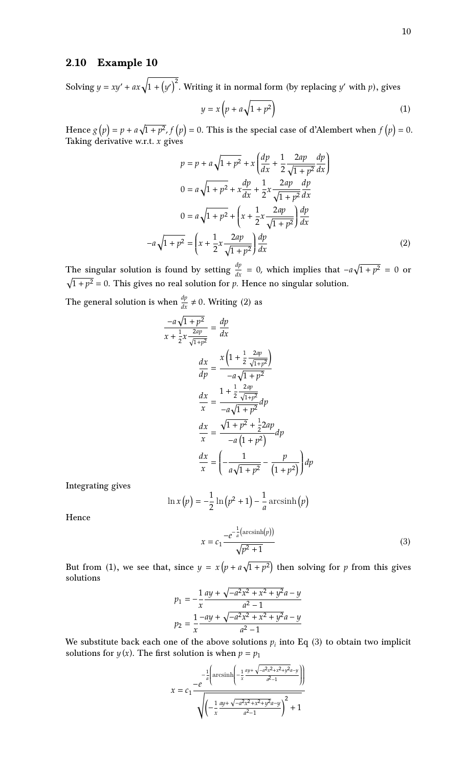# 2.10 Example 10

Solving  $y = xy' + ax\sqrt{1 + (y')^2}$ . Writing it in normal form (by replacing y' with p), gives

$$
y = x \left( p + a \sqrt{1 + p^2} \right) \tag{1}
$$

Hence  $g(p) = p + a\sqrt{1 + p^2}$ ,  $f(p) = 0$ . This is the special case of d'Alembert when  $f(p) = 0$ . Taking derivative w.r.t.  $x$  gives

$$
p = p + a\sqrt{1 + p^2} + x\left(\frac{dp}{dx} + \frac{1}{2}\frac{2ap}{\sqrt{1 + p^2}}\frac{dp}{dx}\right)
$$
  
\n
$$
0 = a\sqrt{1 + p^2} + x\frac{dp}{dx} + \frac{1}{2}x\frac{2ap}{\sqrt{1 + p^2}}\frac{dp}{dx}
$$
  
\n
$$
0 = a\sqrt{1 + p^2} + \left(x + \frac{1}{2}x\frac{2ap}{\sqrt{1 + p^2}}\right)\frac{dp}{dx}
$$
  
\n
$$
-a\sqrt{1 + p^2} = \left(x + \frac{1}{2}x\frac{2ap}{\sqrt{1 + p^2}}\right)\frac{dp}{dx}
$$
 (2)

The singular solution is found by setting  $\frac{dp}{dx} = 0$ , which implies that  $-a\sqrt{1+p^2} = 0$  or  $\sqrt{1 + p^2} = 0$ . This gives no real solution for p. Hence no singular solution.

The general solution is when  $\frac{dp}{dx} \neq 0$ . Writing (2) as

$$
\frac{-a\sqrt{1+p^2}}{x+\frac{1}{2}x\frac{2ap}{\sqrt{1+p^2}}} = \frac{dp}{dx}
$$

$$
\frac{dx}{dp} = \frac{x\left(1+\frac{1}{2}\frac{2ap}{\sqrt{1+p^2}}\right)}{-a\sqrt{1+p^2}}
$$

$$
\frac{dx}{x} = \frac{1+\frac{1}{2}\frac{2ap}{\sqrt{1+p^2}}}{-a\sqrt{1+p^2}}dp
$$

$$
\frac{dx}{x} = \frac{\sqrt{1+p^2} + \frac{1}{2}2ap}{-a(1+p^2)}dp
$$

$$
\frac{dx}{x} = \left(-\frac{1}{a\sqrt{1+p^2}} - \frac{p}{(1+p^2)}\right)dp
$$

Integrating gives

$$
\ln x(p) = -\frac{1}{2}\ln(p^2+1) - \frac{1}{a}\operatorname{arcsinh}(p)
$$

Hence

$$
x = c_1 \frac{-e^{-\frac{1}{a}(\arcsinh(p))}}{\sqrt{p^2 + 1}}
$$
\n(3)

But from (1), we see that, since  $y = x(p + a\sqrt{1 + p^2})$  then solving for p from this gives solutions

$$
p_1 = -\frac{1}{x} \frac{ay + \sqrt{-a^2x^2 + x^2 + y^2}a - y}{a^2 - 1}
$$

$$
p_2 = \frac{1}{x} \frac{-ay + \sqrt{-a^2x^2 + x^2 + y^2}a - y}{a^2 - 1}
$$

We substitute back each one of the above solutions  $p_i$  into Eq (3) to obtain two implicit solutions for  $y(x)$ . The first solution is when  $p = p_1$ 

$$
x = c_1 \frac{-e^{-\frac{1}{a}\left(\arcsin\left(-\frac{1}{x}\frac{ay + \sqrt{-a^2x^2 + x^2 + y^2}a - y}{a^2 - 1}\right)\right)}}{\sqrt{\left(-\frac{1}{x}\frac{ay + \sqrt{-a^2x^2 + x^2 + y^2}a - y}{a^2 - 1}\right)^2 + 1}}
$$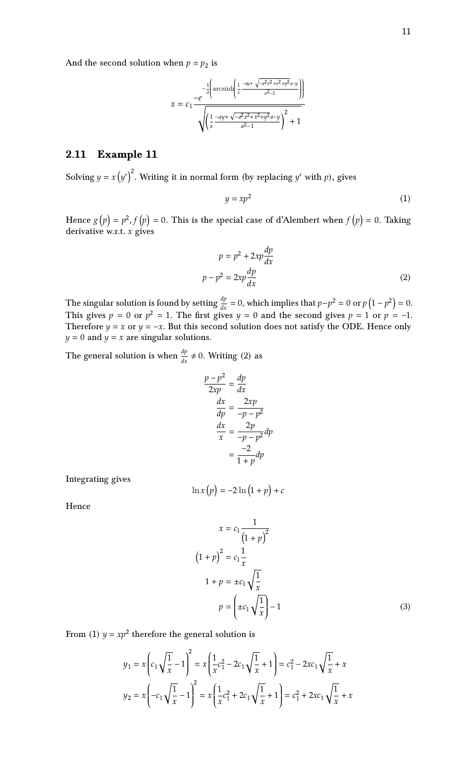And the second solution when  $p = p_2$  is

$$
x = c_1 \frac{-e^{-\frac{1}{a}\left(\arcsin\left(\frac{1}{x} - \frac{ay + \sqrt{-a^2x^2 + x^2 + y^2}a - y}{a^2 - 1}\right)\right)}}{\sqrt{\left(\frac{1}{x} \frac{-ay + \sqrt{-a^2x^2 + x^2 + y^2}a - y}{a^2 - 1}\right)^2 + 1}}
$$

# 2.11 Example 11

Solving  $y = x(y')^2$ . Writing it in normal form (by replacing y' with p), gives

$$
y = xp^2 \tag{1}
$$

Hence  $g(p) = p^2$ ,  $f(p) = 0$ . This is the special case of d'Alembert when  $f(p) = 0$ . Taking derivative w.r.t.  $x$  gives

$$
p = p^2 + 2xp\frac{dp}{dx}
$$
  

$$
p - p^2 = 2xp\frac{dp}{dx}
$$
 (2)

The singular solution is found by setting  $\frac{dp}{dx} = 0$ , which implies that  $p - p^2 = 0$  or  $p(1 - p^2) = 0$ . This gives  $p = 0$  or  $p^2 = 1$ . The first gives  $y = 0$  and the second gives  $p = 1$  or  $p = -1$ . Therefore  $y = x$  or  $y = -x$ . But this second solution does not satisfy the ODE. Hence only  $y = 0$  and  $y = x$  are singular solutions.

The general solution is when  $\frac{dp}{dx} \neq 0$ . Writing (2) as

$$
\frac{p - p^2}{2xp} = \frac{dp}{dx}
$$

$$
\frac{dx}{dp} = \frac{2xp}{-p - p^2}
$$

$$
\frac{dx}{x} = \frac{2p}{-p - p^2}dp
$$

$$
= \frac{-2}{1 + p}dp
$$

Integrating gives

$$
\ln x(p) = -2\ln(1+p) + c
$$

Hence

$$
x = c_1 \frac{1}{(1+p)^2}
$$
  
\n
$$
(1+p)^2 = c_1 \frac{1}{x}
$$
  
\n
$$
1+p = \pm c_1 \sqrt{\frac{1}{x}}
$$
  
\n
$$
p = \left(\pm c_1 \sqrt{\frac{1}{x}}\right) - 1
$$
\n(3)

From (1)  $y = xp^2$  therefore the general solution is

$$
y_1 = x \left( c_1 \sqrt{\frac{1}{x}} - 1 \right)^2 = x \left( \frac{1}{x} c_1^2 - 2c_1 \sqrt{\frac{1}{x}} + 1 \right) = c_1^2 - 2xc_1 \sqrt{\frac{1}{x}} + x
$$
  

$$
y_2 = x \left( -c_1 \sqrt{\frac{1}{x}} - 1 \right)^2 = x \left( \frac{1}{x} c_1^2 + 2c_1 \sqrt{\frac{1}{x}} + 1 \right) = c_1^2 + 2xc_1 \sqrt{\frac{1}{x}} + x
$$